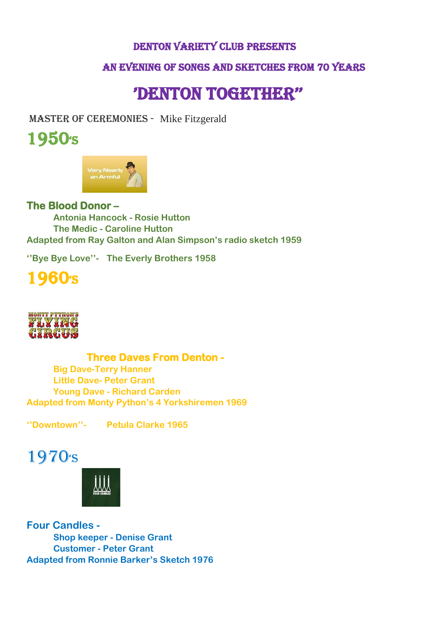### DENTON VARIETY CLUB PRESENTS

### AN EVENING OF SONGS AND SKETCHES FROM 70 YEARS

## 'DENTON TOGETHER''

MASTER OF CEREMONIES - Mike Fitzgerald

1950's



#### **The Blood Donor –**

**Antonia Hancock - Rosie Hutton The Medic - Caroline Hutton Adapted from Ray Galton and Alan Simpson's radio sketch 1959**

**''Bye Bye Love''- The Everly Brothers 1958**





### **Three Daves From Denton -**

**Big Dave-Terry Hanner Little Dave- Peter Grant Young Dave - Richard Carden Adapted from Monty Python's 4 Yorkshiremen 1969**

**''Downtown''- Petula Clarke 1965**





**Four Candles - Shop keeper - Denise Grant Customer - Peter Grant Adapted from Ronnie Barker's Sketch 1976**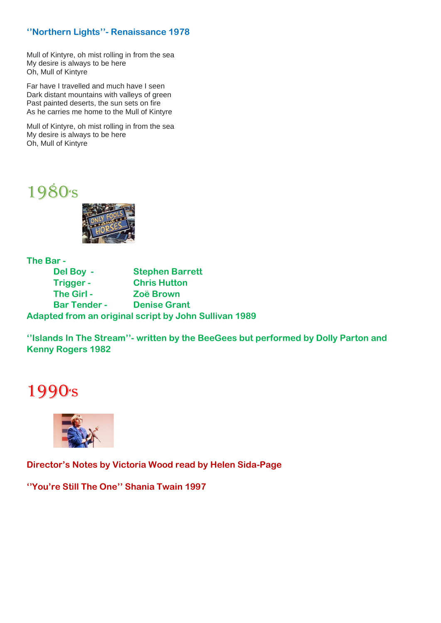#### **''Northern Lights''- Renaissance 1978**

Mull of Kintyre, oh mist rolling in from the sea My desire is always to be here Oh, Mull of Kintyre

Far have I travelled and much have I seen Dark distant mountains with valleys of green Past painted deserts, the sun sets on fire As he carries me home to the Mull of Kintyre

Mull of Kintyre, oh mist rolling in from the sea My desire is always to be here Oh, Mull of Kintyre

# 1980's



**The Bar -**

**Del Boy - Stephen Barrett Trigger - Chris Hutton The Girl - Zoë Brown Bar Tender - Denise Grant Adapted from an original script by John Sullivan 1989**

**''Islands In The Stream''- written by the BeeGees but performed by Dolly Parton and Kenny Rogers 1982**

### 1990's



**Director's Notes by Victoria Wood read by Helen Sida-Page**

**''You're Still The One'' Shania Twain 1997**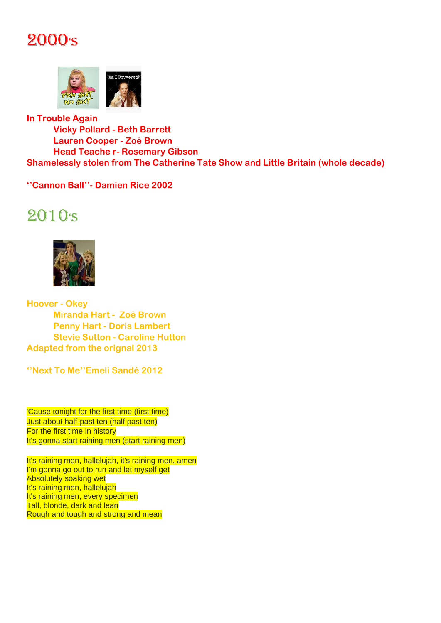## 2000's



**In Trouble Again Vicky Pollard - Beth Barrett Lauren Cooper - Zoë Brown Head Teache r- Rosemary Gibson Shamelessly stolen from The Catherine Tate Show and Little Britain (whole decade)**

**''Cannon Ball''- Damien Rice 2002**

### 2010's



**Hoover - Okey Miranda Hart - Zoë Brown Penny Hart - Doris Lambert Stevie Sutton - Caroline Hutton Adapted from the orignal 2013**

**''Next To Me''Emeli Sandé 2012**

'Cause tonight for the first time (first time) Just about half-past ten (half past ten) For the first time in history It's gonna start raining men (start raining men)

It's raining men, hallelujah, it's raining men, amen I'm gonna go out to run and let myself get Absolutely soaking wet It's raining men, hallelujah It's raining men, every specimen Tall, blonde, dark and lean Rough and tough and strong and mean